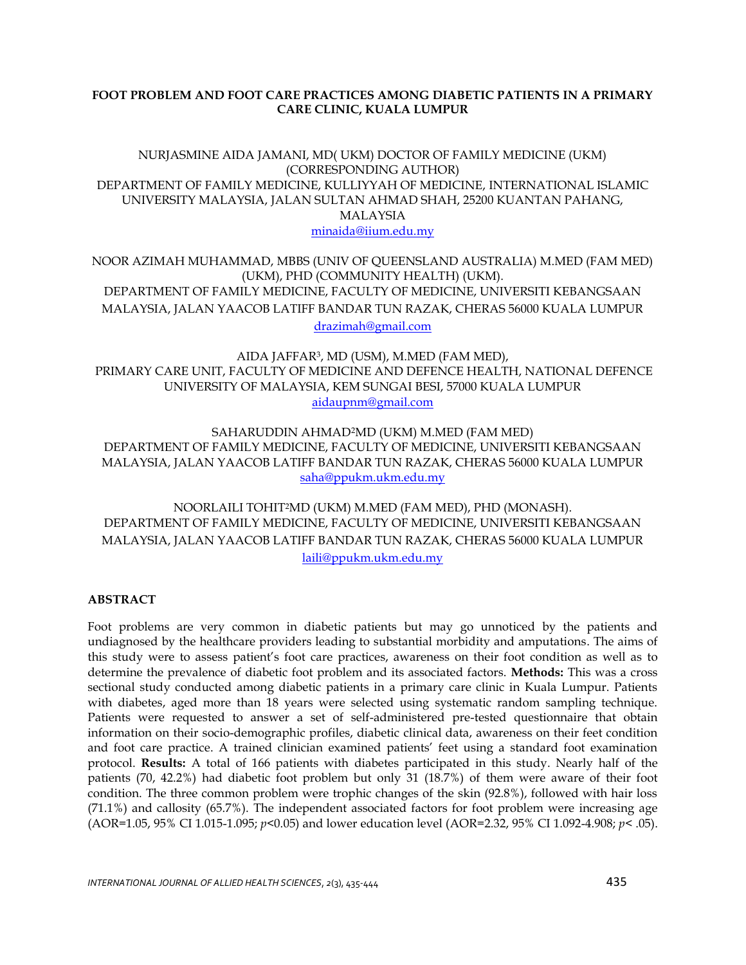## **FOOT PROBLEM AND FOOT CARE PRACTICES AMONG DIABETIC PATIENTS IN A PRIMARY CARE CLINIC, KUALA LUMPUR**

## NURJASMINE AIDA JAMANI, MD( UKM) DOCTOR OF FAMILY MEDICINE (UKM) (CORRESPONDING AUTHOR) DEPARTMENT OF FAMILY MEDICINE, KULLIYYAH OF MEDICINE, INTERNATIONAL ISLAMIC UNIVERSITY MALAYSIA, JALAN SULTAN AHMAD SHAH, 25200 KUANTAN PAHANG, MALAYSIA [minaida@iium.edu.my](mailto:minaida@iium.edu.my)

NOOR AZIMAH MUHAMMAD, MBBS (UNIV OF QUEENSLAND AUSTRALIA) M.MED (FAM MED) (UKM), PHD (COMMUNITY HEALTH) (UKM). DEPARTMENT OF FAMILY MEDICINE, FACULTY OF MEDICINE, UNIVERSITI KEBANGSAAN MALAYSIA, JALAN YAACOB LATIFF BANDAR TUN RAZAK, CHERAS 56000 KUALA LUMPUR [drazimah@gmail.com](mailto:drazimah@gmail.com)

AIDA JAFFAR<sup>3</sup> , MD (USM), M.MED (FAM MED), PRIMARY CARE UNIT, FACULTY OF MEDICINE AND DEFENCE HEALTH, NATIONAL DEFENCE UNIVERSITY OF MALAYSIA, KEM SUNGAI BESI, 57000 KUALA LUMPUR [aidaupnm@gmail.com](mailto:aidaupnm@gmail.com)

SAHARUDDIN AHMAD2MD (UKM) M.MED (FAM MED) DEPARTMENT OF FAMILY MEDICINE, FACULTY OF MEDICINE, UNIVERSITI KEBANGSAAN MALAYSIA, JALAN YAACOB LATIFF BANDAR TUN RAZAK, CHERAS 56000 KUALA LUMPUR [saha@ppukm.ukm.edu.my](mailto:saha@ppukm.ukm.edu.my)

NOORLAILI TOHIT2MD (UKM) M.MED (FAM MED), PHD (MONASH). DEPARTMENT OF FAMILY MEDICINE, FACULTY OF MEDICINE, UNIVERSITI KEBANGSAAN MALAYSIA, JALAN YAACOB LATIFF BANDAR TUN RAZAK, CHERAS 56000 KUALA LUMPUR [laili@ppukm.ukm.edu.my](mailto:laili@ppukm.ukm.edu.my)

# **ABSTRACT**

Foot problems are very common in diabetic patients but may go unnoticed by the patients and undiagnosed by the healthcare providers leading to substantial morbidity and amputations. The aims of this study were to assess patient's foot care practices, awareness on their foot condition as well as to determine the prevalence of diabetic foot problem and its associated factors. **Methods:** This was a cross sectional study conducted among diabetic patients in a primary care clinic in Kuala Lumpur. Patients with diabetes, aged more than 18 years were selected using systematic random sampling technique. Patients were requested to answer a set of self-administered pre-tested questionnaire that obtain information on their socio-demographic profiles, diabetic clinical data, awareness on their feet condition and foot care practice. A trained clinician examined patients' feet using a standard foot examination protocol. **Results:** A total of 166 patients with diabetes participated in this study. Nearly half of the patients (70, 42.2%) had diabetic foot problem but only 31 (18.7%) of them were aware of their foot condition. The three common problem were trophic changes of the skin (92.8%), followed with hair loss (71.1%) and callosity (65.7%). The independent associated factors for foot problem were increasing age (AOR=1.05, 95% CI 1.015-1.095; *p*<0.05) and lower education level (AOR=2.32, 95% CI 1.092-4.908; *p*< .05).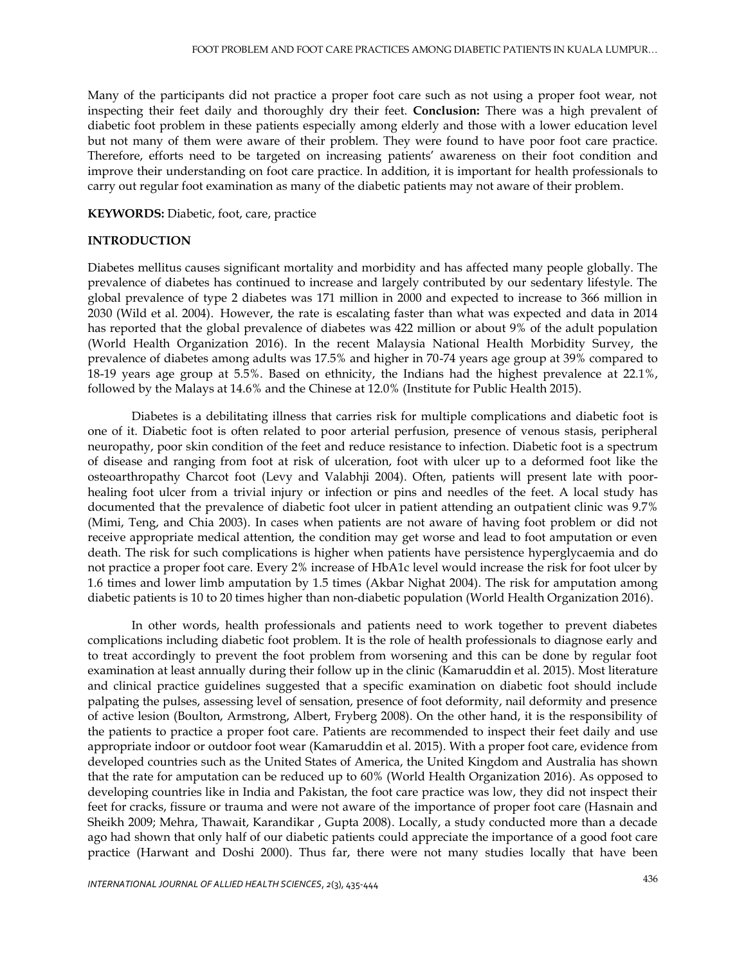Many of the participants did not practice a proper foot care such as not using a proper foot wear, not inspecting their feet daily and thoroughly dry their feet. **Conclusion:** There was a high prevalent of diabetic foot problem in these patients especially among elderly and those with a lower education level but not many of them were aware of their problem. They were found to have poor foot care practice. Therefore, efforts need to be targeted on increasing patients' awareness on their foot condition and improve their understanding on foot care practice. In addition, it is important for health professionals to carry out regular foot examination as many of the diabetic patients may not aware of their problem.

#### **KEYWORDS:** Diabetic, foot, care, practice

#### **INTRODUCTION**

Diabetes mellitus causes significant mortality and morbidity and has affected many people globally. The prevalence of diabetes has continued to increase and largely contributed by our sedentary lifestyle. The global prevalence of type 2 diabetes was 171 million in 2000 and expected to increase to 366 million in 2030 (Wild et al. 2004). However, the rate is escalating faster than what was expected and data in 2014 has reported that the global prevalence of diabetes was 422 million or about 9% of the adult population (World Health Organization 2016). In the recent Malaysia National Health Morbidity Survey, the prevalence of diabetes among adults was 17.5% and higher in 70-74 years age group at 39% compared to 18-19 years age group at 5.5%. Based on ethnicity, the Indians had the highest prevalence at 22.1%, followed by the Malays at 14.6% and the Chinese at 12.0% (Institute for Public Health 2015).

Diabetes is a debilitating illness that carries risk for multiple complications and diabetic foot is one of it. Diabetic foot is often related to poor arterial perfusion, presence of venous stasis, peripheral neuropathy, poor skin condition of the feet and reduce resistance to infection. Diabetic foot is a spectrum of disease and ranging from foot at risk of ulceration, foot with ulcer up to a deformed foot like the osteoarthropathy Charcot foot (Levy and Valabhji 2004). Often, patients will present late with poorhealing foot ulcer from a trivial injury or infection or pins and needles of the feet. A local study has documented that the prevalence of diabetic foot ulcer in patient attending an outpatient clinic was 9.7% (Mimi, Teng, and Chia 2003). In cases when patients are not aware of having foot problem or did not receive appropriate medical attention, the condition may get worse and lead to foot amputation or even death. The risk for such complications is higher when patients have persistence hyperglycaemia and do not practice a proper foot care. Every 2% increase of HbA1c level would increase the risk for foot ulcer by 1.6 times and lower limb amputation by 1.5 times (Akbar Nighat 2004). The risk for amputation among diabetic patients is 10 to 20 times higher than non-diabetic population (World Health Organization 2016).

In other words, health professionals and patients need to work together to prevent diabetes complications including diabetic foot problem. It is the role of health professionals to diagnose early and to treat accordingly to prevent the foot problem from worsening and this can be done by regular foot examination at least annually during their follow up in the clinic (Kamaruddin et al. 2015). Most literature and clinical practice guidelines suggested that a specific examination on diabetic foot should include palpating the pulses, assessing level of sensation, presence of foot deformity, nail deformity and presence of active lesion (Boulton, Armstrong, Albert, Fryberg 2008). On the other hand, it is the responsibility of the patients to practice a proper foot care. Patients are recommended to inspect their feet daily and use appropriate indoor or outdoor foot wear (Kamaruddin et al. 2015). With a proper foot care, evidence from developed countries such as the United States of America, the United Kingdom and Australia has shown that the rate for amputation can be reduced up to 60% (World Health Organization 2016). As opposed to developing countries like in India and Pakistan, the foot care practice was low, they did not inspect their feet for cracks, fissure or trauma and were not aware of the importance of proper foot care (Hasnain and Sheikh 2009; Mehra, Thawait, Karandikar , Gupta 2008). Locally, a study conducted more than a decade ago had shown that only half of our diabetic patients could appreciate the importance of a good foot care practice (Harwant and Doshi 2000). Thus far, there were not many studies locally that have been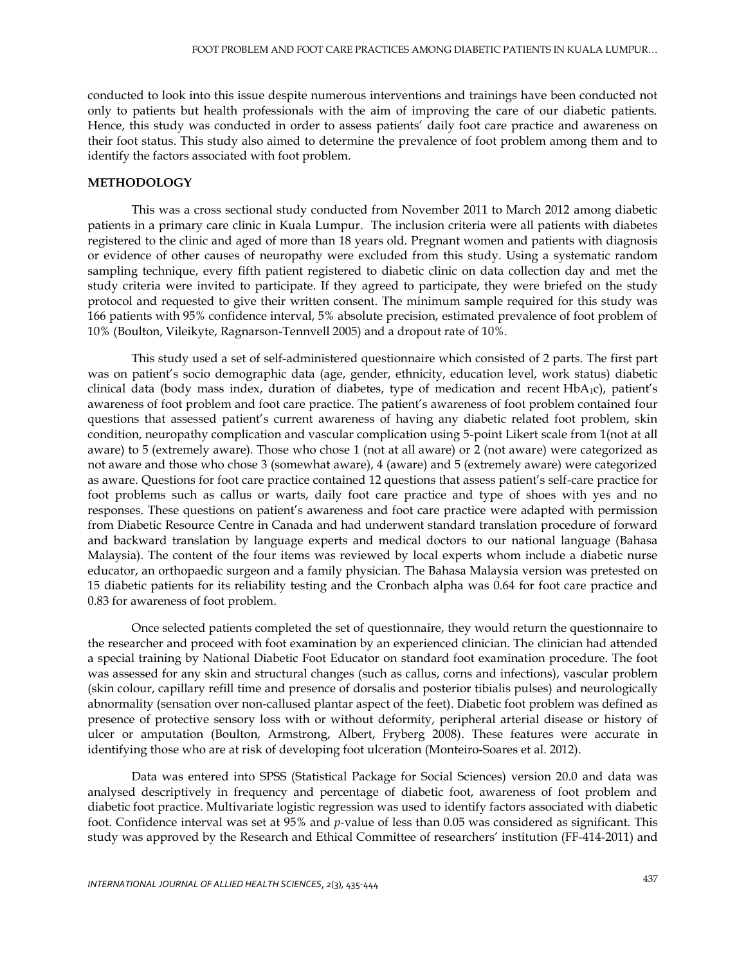conducted to look into this issue despite numerous interventions and trainings have been conducted not only to patients but health professionals with the aim of improving the care of our diabetic patients. Hence, this study was conducted in order to assess patients' daily foot care practice and awareness on their foot status. This study also aimed to determine the prevalence of foot problem among them and to identify the factors associated with foot problem.

#### **METHODOLOGY**

This was a cross sectional study conducted from November 2011 to March 2012 among diabetic patients in a primary care clinic in Kuala Lumpur. The inclusion criteria were all patients with diabetes registered to the clinic and aged of more than 18 years old. Pregnant women and patients with diagnosis or evidence of other causes of neuropathy were excluded from this study. Using a systematic random sampling technique, every fifth patient registered to diabetic clinic on data collection day and met the study criteria were invited to participate. If they agreed to participate, they were briefed on the study protocol and requested to give their written consent. The minimum sample required for this study was 166 patients with 95% confidence interval, 5% absolute precision, estimated prevalence of foot problem of 10% (Boulton, Vileikyte, Ragnarson-Tennvell 2005) and a dropout rate of 10%.

This study used a set of self-administered questionnaire which consisted of 2 parts. The first part was on patient's socio demographic data (age, gender, ethnicity, education level, work status) diabetic clinical data (body mass index, duration of diabetes, type of medication and recent  $HbA_1c$ ), patient's awareness of foot problem and foot care practice. The patient's awareness of foot problem contained four questions that assessed patient's current awareness of having any diabetic related foot problem, skin condition, neuropathy complication and vascular complication using 5-point Likert scale from 1(not at all aware) to 5 (extremely aware). Those who chose 1 (not at all aware) or 2 (not aware) were categorized as not aware and those who chose 3 (somewhat aware), 4 (aware) and 5 (extremely aware) were categorized as aware. Questions for foot care practice contained 12 questions that assess patient's self-care practice for foot problems such as callus or warts, daily foot care practice and type of shoes with yes and no responses. These questions on patient's awareness and foot care practice were adapted with permission from Diabetic Resource Centre in Canada and had underwent standard translation procedure of forward and backward translation by language experts and medical doctors to our national language (Bahasa Malaysia). The content of the four items was reviewed by local experts whom include a diabetic nurse educator, an orthopaedic surgeon and a family physician. The Bahasa Malaysia version was pretested on 15 diabetic patients for its reliability testing and the Cronbach alpha was 0.64 for foot care practice and 0.83 for awareness of foot problem.

Once selected patients completed the set of questionnaire, they would return the questionnaire to the researcher and proceed with foot examination by an experienced clinician. The clinician had attended a special training by National Diabetic Foot Educator on standard foot examination procedure. The foot was assessed for any skin and structural changes (such as callus, corns and infections), vascular problem (skin colour, capillary refill time and presence of dorsalis and posterior tibialis pulses) and neurologically abnormality (sensation over non-callused plantar aspect of the feet). Diabetic foot problem was defined as presence of protective sensory loss with or without deformity, peripheral arterial disease or history of ulcer or amputation (Boulton, Armstrong, Albert, Fryberg 2008). These features were accurate in identifying those who are at risk of developing foot ulceration (Monteiro-Soares et al. 2012).

Data was entered into SPSS (Statistical Package for Social Sciences) version 20.0 and data was analysed descriptively in frequency and percentage of diabetic foot, awareness of foot problem and diabetic foot practice. Multivariate logistic regression was used to identify factors associated with diabetic foot. Confidence interval was set at 95% and *p-*value of less than 0.05 was considered as significant. This study was approved by the Research and Ethical Committee of researchers' institution (FF-414-2011) and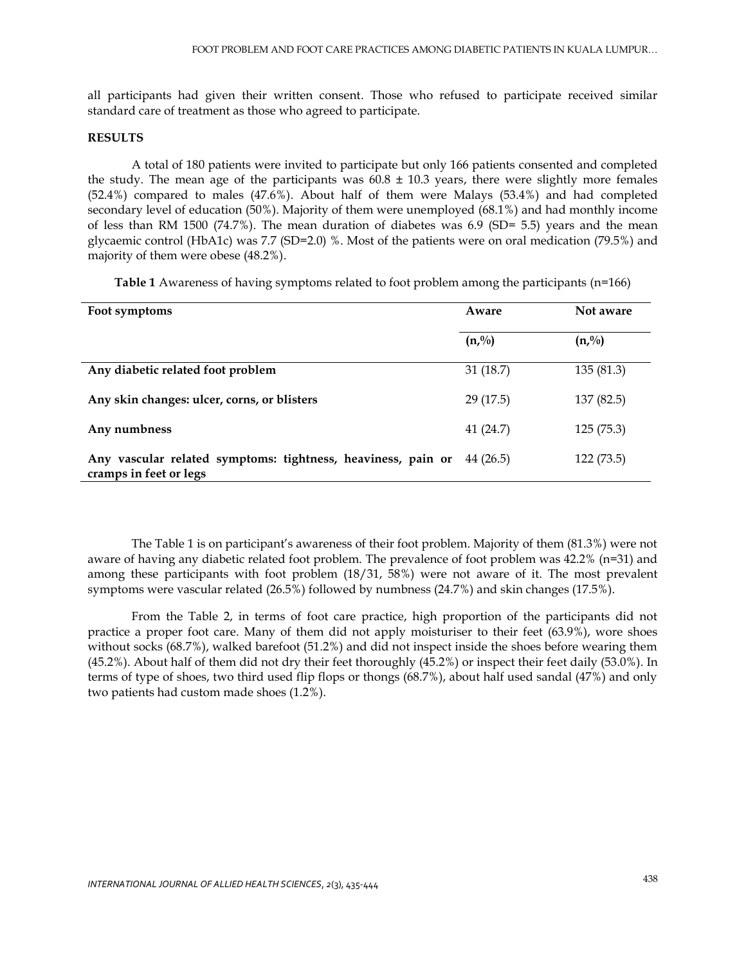all participants had given their written consent. Those who refused to participate received similar standard care of treatment as those who agreed to participate.

#### **RESULTS**

A total of 180 patients were invited to participate but only 166 patients consented and completed the study. The mean age of the participants was  $60.8 \pm 10.3$  years, there were slightly more females (52.4%) compared to males (47.6%). About half of them were Malays (53.4%) and had completed secondary level of education (50%). Majority of them were unemployed (68.1%) and had monthly income of less than RM 1500 (74.7%). The mean duration of diabetes was 6.9 (SD= 5.5) years and the mean glycaemic control (HbA1c) was 7.7 (SD=2.0) %. Most of the patients were on oral medication (79.5%) and majority of them were obese (48.2%).

**Table 1** Awareness of having symptoms related to foot problem among the participants (n=166)

| Foot symptoms                                                                          | Aware     | Not aware  |  |
|----------------------------------------------------------------------------------------|-----------|------------|--|
|                                                                                        | (n, %)    | (n, %)     |  |
| Any diabetic related foot problem                                                      | 31(18.7)  | 135(81.3)  |  |
| Any skin changes: ulcer, corns, or blisters                                            | 29 (17.5) | 137 (82.5) |  |
| Any numbness                                                                           | 41(24.7)  | 125 (75.3) |  |
| Any vascular related symptoms: tightness, heaviness, pain or<br>cramps in feet or legs | 44 (26.5) | 122 (73.5) |  |

The Table 1 is on participant's awareness of their foot problem. Majority of them (81.3%) were not aware of having any diabetic related foot problem. The prevalence of foot problem was 42.2% (n=31) and among these participants with foot problem (18/31, 58%) were not aware of it. The most prevalent symptoms were vascular related (26.5%) followed by numbness (24.7%) and skin changes (17.5%).

From the Table 2, in terms of foot care practice, high proportion of the participants did not practice a proper foot care. Many of them did not apply moisturiser to their feet (63.9%), wore shoes without socks (68.7%), walked barefoot (51.2%) and did not inspect inside the shoes before wearing them (45.2%). About half of them did not dry their feet thoroughly (45.2%) or inspect their feet daily (53.0%). In terms of type of shoes, two third used flip flops or thongs (68.7%), about half used sandal (47%) and only two patients had custom made shoes (1.2%).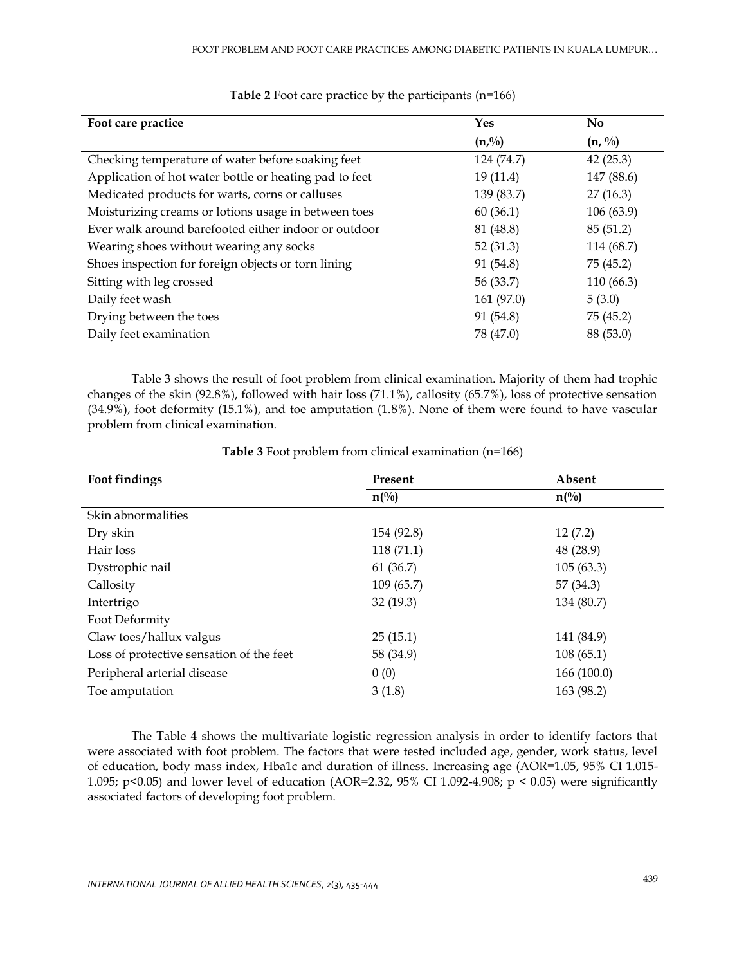| Foot care practice                                     | Yes        | <b>No</b>          |
|--------------------------------------------------------|------------|--------------------|
|                                                        | (n, %)     | $(n, \frac{0}{0})$ |
| Checking temperature of water before soaking feet      | 124 (74.7) | 42(25.3)           |
| Application of hot water bottle or heating pad to feet | 19(11.4)   | 147 (88.6)         |
| Medicated products for warts, corns or calluses        | 139 (83.7) | 27(16.3)           |
| Moisturizing creams or lotions usage in between toes   | 60(36.1)   | 106 (63.9)         |
| Ever walk around barefooted either indoor or outdoor   | 81 (48.8)  | 85(51.2)           |
| Wearing shoes without wearing any socks                | 52(31.3)   | 114 (68.7)         |
| Shoes inspection for foreign objects or torn lining    | 91 (54.8)  | 75 (45.2)          |
| Sitting with leg crossed                               | 56 (33.7)  | 110 (66.3)         |
| Daily feet wash                                        | 161 (97.0) | 5(3.0)             |
| Drying between the toes                                | 91 (54.8)  | 75 (45.2)          |
| Daily feet examination                                 | 78 (47.0)  | 88 (53.0)          |

# **Table 2** Foot care practice by the participants (n=166)

Table 3 shows the result of foot problem from clinical examination. Majority of them had trophic changes of the skin (92.8%), followed with hair loss (71.1%), callosity (65.7%), loss of protective sensation (34.9%), foot deformity (15.1%), and toe amputation (1.8%). None of them were found to have vascular problem from clinical examination.

| Foot findings                            | Present         | Absent          |  |
|------------------------------------------|-----------------|-----------------|--|
|                                          | $n\binom{0}{0}$ | $n\binom{0}{0}$ |  |
| Skin abnormalities                       |                 |                 |  |
| Dry skin                                 | 154 (92.8)      | 12(7.2)         |  |
| Hair loss                                | 118 (71.1)      | 48 (28.9)       |  |
| Dystrophic nail                          | 61(36.7)        | 105(63.3)       |  |
| Callosity                                | 109(65.7)       | 57 (34.3)       |  |
| Intertrigo                               | 32(19.3)        | 134 (80.7)      |  |
| Foot Deformity                           |                 |                 |  |
| Claw toes/hallux valgus                  | 25(15.1)        | 141 (84.9)      |  |
| Loss of protective sensation of the feet | 58 (34.9)       | 108(65.1)       |  |
| Peripheral arterial disease              | 0(0)            | 166 (100.0)     |  |
| Toe amputation                           | 3(1.8)          | 163 (98.2)      |  |

## **Table 3** Foot problem from clinical examination (n=166)

The Table 4 shows the multivariate logistic regression analysis in order to identify factors that were associated with foot problem. The factors that were tested included age, gender, work status, level of education, body mass index, Hba1c and duration of illness. Increasing age (AOR=1.05, 95% CI 1.015- 1.095; p<0.05) and lower level of education (AOR=2.32, 95% CI 1.092-4.908; p < 0.05) were significantly associated factors of developing foot problem.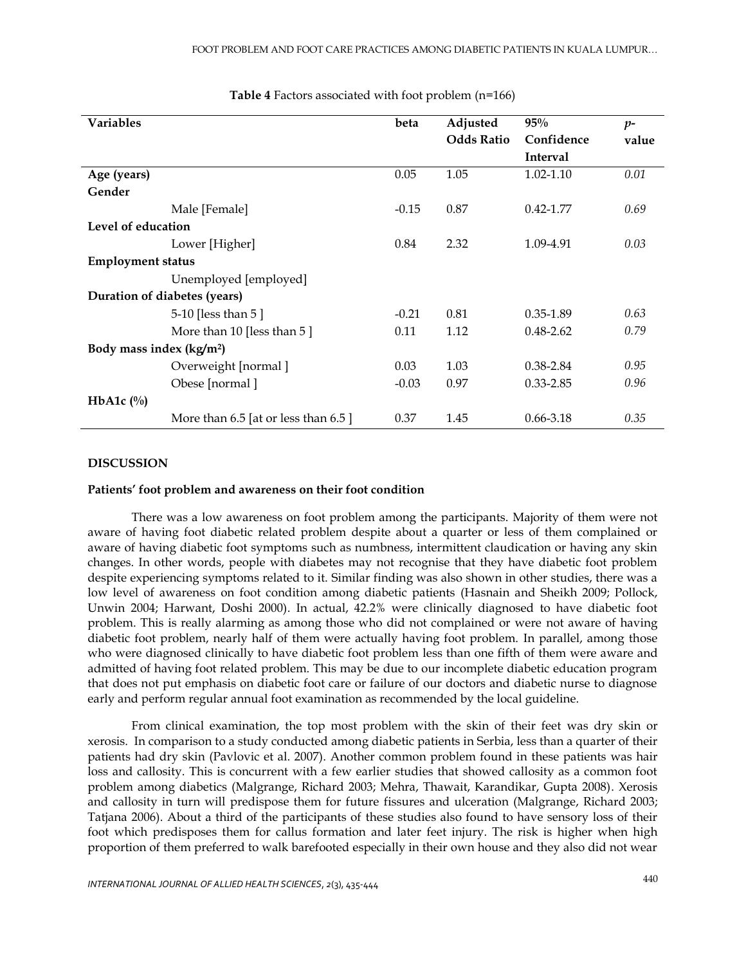| <b>Variables</b>                     |                                      | beta    | Adjusted          | 95%             | $p-$  |
|--------------------------------------|--------------------------------------|---------|-------------------|-----------------|-------|
|                                      |                                      |         | <b>Odds Ratio</b> | Confidence      | value |
|                                      |                                      |         |                   | <b>Interval</b> |       |
| Age (years)                          |                                      | 0.05    | 1.05              | 1.02-1.10       | 0.01  |
| Gender                               |                                      |         |                   |                 |       |
|                                      | Male [Female]                        | $-0.15$ | 0.87              | $0.42 - 1.77$   | 0.69  |
| Level of education                   |                                      |         |                   |                 |       |
|                                      | Lower [Higher]                       | 0.84    | 2.32              | 1.09-4.91       | 0.03  |
| <b>Employment status</b>             |                                      |         |                   |                 |       |
|                                      | Unemployed [employed]                |         |                   |                 |       |
| Duration of diabetes (years)         |                                      |         |                   |                 |       |
|                                      | 5-10 [less than 5 ]                  | $-0.21$ | 0.81              | 0.35-1.89       | 0.63  |
|                                      | More than 10 [less than $5$ ]        | 0.11    | 1.12              | $0.48 - 2.62$   | 0.79  |
| Body mass index (kg/m <sup>2</sup> ) |                                      |         |                   |                 |       |
|                                      | Overweight [normal]                  | 0.03    | 1.03              | 0.38-2.84       | 0.95  |
|                                      | Obese [normal]                       | $-0.03$ | 0.97              | $0.33 - 2.85$   | 0.96  |
| HbA1c $(\%)$                         |                                      |         |                   |                 |       |
|                                      | More than 6.5 [at or less than 6.5 ] | 0.37    | 1.45              | $0.66 - 3.18$   | 0.35  |

### **Table 4** Factors associated with foot problem (n=166)

## **DISCUSSION**

#### **Patients' foot problem and awareness on their foot condition**

There was a low awareness on foot problem among the participants. Majority of them were not aware of having foot diabetic related problem despite about a quarter or less of them complained or aware of having diabetic foot symptoms such as numbness, intermittent claudication or having any skin changes. In other words, people with diabetes may not recognise that they have diabetic foot problem despite experiencing symptoms related to it. Similar finding was also shown in other studies, there was a low level of awareness on foot condition among diabetic patients (Hasnain and Sheikh 2009; Pollock, Unwin 2004; Harwant, Doshi 2000). In actual, 42.2% were clinically diagnosed to have diabetic foot problem. This is really alarming as among those who did not complained or were not aware of having diabetic foot problem, nearly half of them were actually having foot problem. In parallel, among those who were diagnosed clinically to have diabetic foot problem less than one fifth of them were aware and admitted of having foot related problem. This may be due to our incomplete diabetic education program that does not put emphasis on diabetic foot care or failure of our doctors and diabetic nurse to diagnose early and perform regular annual foot examination as recommended by the local guideline.

From clinical examination, the top most problem with the skin of their feet was dry skin or xerosis. In comparison to a study conducted among diabetic patients in Serbia, less than a quarter of their patients had dry skin (Pavlovic et al. 2007). Another common problem found in these patients was hair loss and callosity. This is concurrent with a few earlier studies that showed callosity as a common foot problem among diabetics (Malgrange, Richard 2003; Mehra, Thawait, Karandikar, Gupta 2008). Xerosis and callosity in turn will predispose them for future fissures and ulceration (Malgrange, Richard 2003; Tatjana 2006). About a third of the participants of these studies also found to have sensory loss of their foot which predisposes them for callus formation and later feet injury. The risk is higher when high proportion of them preferred to walk barefooted especially in their own house and they also did not wear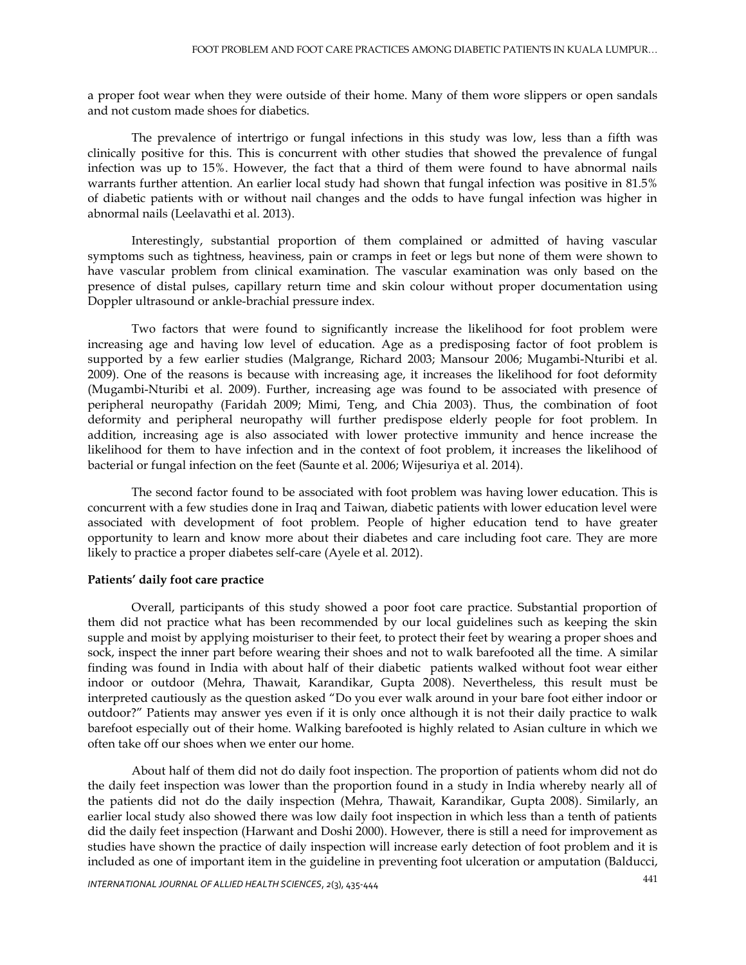a proper foot wear when they were outside of their home. Many of them wore slippers or open sandals and not custom made shoes for diabetics.

The prevalence of intertrigo or fungal infections in this study was low, less than a fifth was clinically positive for this. This is concurrent with other studies that showed the prevalence of fungal infection was up to 15%. However, the fact that a third of them were found to have abnormal nails warrants further attention. An earlier local study had shown that fungal infection was positive in 81.5% of diabetic patients with or without nail changes and the odds to have fungal infection was higher in abnormal nails (Leelavathi et al. 2013).

Interestingly, substantial proportion of them complained or admitted of having vascular symptoms such as tightness, heaviness, pain or cramps in feet or legs but none of them were shown to have vascular problem from clinical examination. The vascular examination was only based on the presence of distal pulses, capillary return time and skin colour without proper documentation using Doppler ultrasound or ankle-brachial pressure index.

Two factors that were found to significantly increase the likelihood for foot problem were increasing age and having low level of education. Age as a predisposing factor of foot problem is supported by a few earlier studies (Malgrange, Richard 2003; Mansour 2006; Mugambi-Nturibi et al. 2009). One of the reasons is because with increasing age, it increases the likelihood for foot deformity (Mugambi-Nturibi et al. 2009). Further, increasing age was found to be associated with presence of peripheral neuropathy (Faridah 2009; Mimi, Teng, and Chia 2003). Thus, the combination of foot deformity and peripheral neuropathy will further predispose elderly people for foot problem. In addition, increasing age is also associated with lower protective immunity and hence increase the likelihood for them to have infection and in the context of foot problem, it increases the likelihood of bacterial or fungal infection on the feet (Saunte et al. 2006; Wijesuriya et al. 2014).

The second factor found to be associated with foot problem was having lower education. This is concurrent with a few studies done in Iraq and Taiwan, diabetic patients with lower education level were associated with development of foot problem. People of higher education tend to have greater opportunity to learn and know more about their diabetes and care including foot care. They are more likely to practice a proper diabetes self-care (Ayele et al. 2012).

### **Patients' daily foot care practice**

Overall, participants of this study showed a poor foot care practice. Substantial proportion of them did not practice what has been recommended by our local guidelines such as keeping the skin supple and moist by applying moisturiser to their feet, to protect their feet by wearing a proper shoes and sock, inspect the inner part before wearing their shoes and not to walk barefooted all the time. A similar finding was found in India with about half of their diabetic patients walked without foot wear either indoor or outdoor (Mehra, Thawait, Karandikar, Gupta 2008). Nevertheless, this result must be interpreted cautiously as the question asked "Do you ever walk around in your bare foot either indoor or outdoor?" Patients may answer yes even if it is only once although it is not their daily practice to walk barefoot especially out of their home. Walking barefooted is highly related to Asian culture in which we often take off our shoes when we enter our home.

About half of them did not do daily foot inspection. The proportion of patients whom did not do the daily feet inspection was lower than the proportion found in a study in India whereby nearly all of the patients did not do the daily inspection (Mehra, Thawait, Karandikar, Gupta 2008). Similarly, an earlier local study also showed there was low daily foot inspection in which less than a tenth of patients did the daily feet inspection (Harwant and Doshi 2000). However, there is still a need for improvement as studies have shown the practice of daily inspection will increase early detection of foot problem and it is included as one of important item in the guideline in preventing foot ulceration or amputation (Balducci,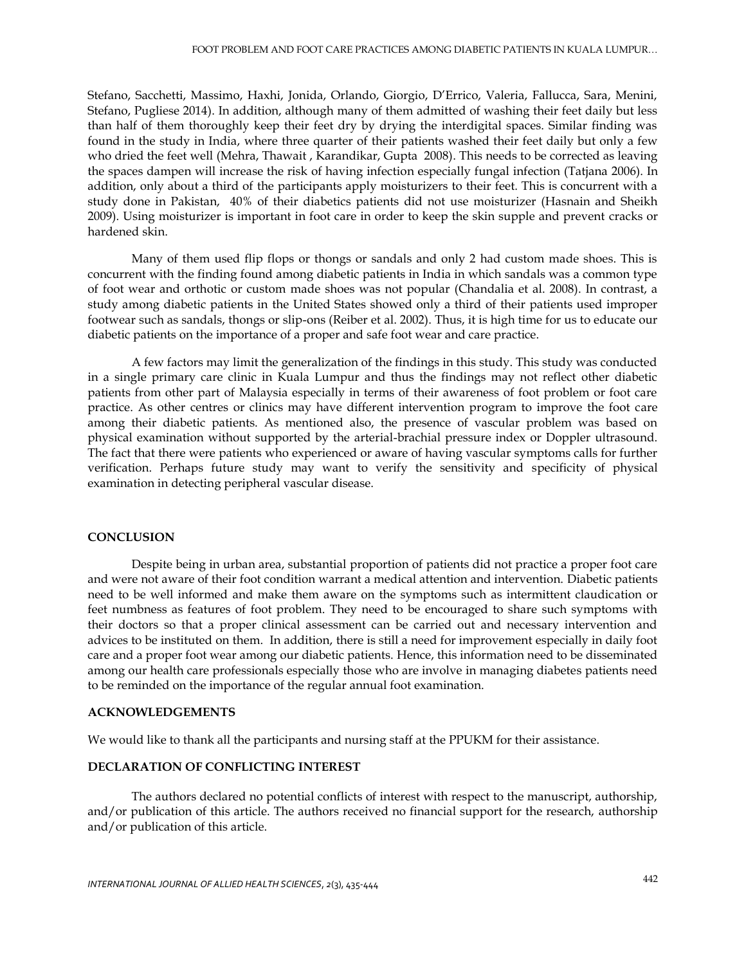Stefano, Sacchetti, Massimo, Haxhi, Jonida, Orlando, Giorgio, D'Errico, Valeria, Fallucca, Sara, Menini, Stefano, Pugliese 2014). In addition, although many of them admitted of washing their feet daily but less than half of them thoroughly keep their feet dry by drying the interdigital spaces. Similar finding was found in the study in India, where three quarter of their patients washed their feet daily but only a few who dried the feet well (Mehra, Thawait , Karandikar, Gupta 2008). This needs to be corrected as leaving the spaces dampen will increase the risk of having infection especially fungal infection (Tatjana 2006). In addition, only about a third of the participants apply moisturizers to their feet. This is concurrent with a study done in Pakistan, 40% of their diabetics patients did not use moisturizer (Hasnain and Sheikh 2009). Using moisturizer is important in foot care in order to keep the skin supple and prevent cracks or hardened skin.

Many of them used flip flops or thongs or sandals and only 2 had custom made shoes. This is concurrent with the finding found among diabetic patients in India in which sandals was a common type of foot wear and orthotic or custom made shoes was not popular (Chandalia et al. 2008). In contrast, a study among diabetic patients in the United States showed only a third of their patients used improper footwear such as sandals, thongs or slip-ons (Reiber et al. 2002). Thus, it is high time for us to educate our diabetic patients on the importance of a proper and safe foot wear and care practice.

A few factors may limit the generalization of the findings in this study. This study was conducted in a single primary care clinic in Kuala Lumpur and thus the findings may not reflect other diabetic patients from other part of Malaysia especially in terms of their awareness of foot problem or foot care practice. As other centres or clinics may have different intervention program to improve the foot care among their diabetic patients. As mentioned also, the presence of vascular problem was based on physical examination without supported by the arterial-brachial pressure index or Doppler ultrasound. The fact that there were patients who experienced or aware of having vascular symptoms calls for further verification. Perhaps future study may want to verify the sensitivity and specificity of physical examination in detecting peripheral vascular disease.

### **CONCLUSION**

Despite being in urban area, substantial proportion of patients did not practice a proper foot care and were not aware of their foot condition warrant a medical attention and intervention. Diabetic patients need to be well informed and make them aware on the symptoms such as intermittent claudication or feet numbness as features of foot problem. They need to be encouraged to share such symptoms with their doctors so that a proper clinical assessment can be carried out and necessary intervention and advices to be instituted on them. In addition, there is still a need for improvement especially in daily foot care and a proper foot wear among our diabetic patients. Hence, this information need to be disseminated among our health care professionals especially those who are involve in managing diabetes patients need to be reminded on the importance of the regular annual foot examination.

#### **ACKNOWLEDGEMENTS**

We would like to thank all the participants and nursing staff at the PPUKM for their assistance.

### **DECLARATION OF CONFLICTING INTEREST**

The authors declared no potential conflicts of interest with respect to the manuscript, authorship, and/or publication of this article. The authors received no financial support for the research, authorship and/or publication of this article.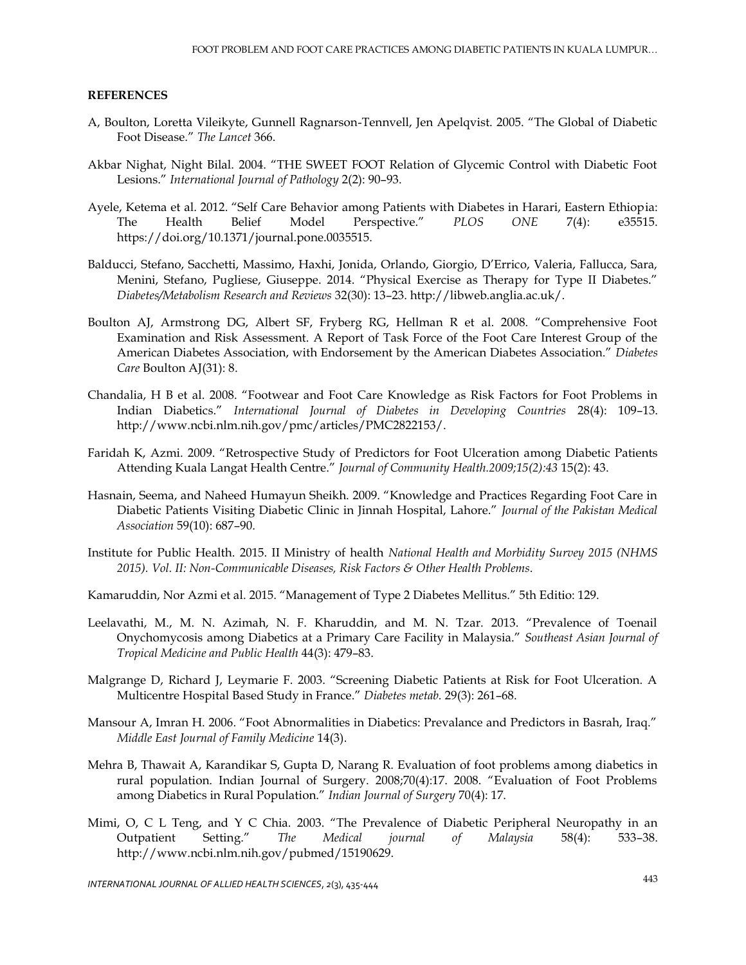#### **REFERENCES**

- A, Boulton, Loretta Vileikyte, Gunnell Ragnarson-Tennvell, Jen Apelqvist. 2005. "The Global of Diabetic Foot Disease." *The Lancet* 366.
- Akbar Nighat, Night Bilal. 2004. "THE SWEET FOOT Relation of Glycemic Control with Diabetic Foot Lesions." *International Journal of Pathology* 2(2): 90–93.
- Ayele, Ketema et al. 2012. "Self Care Behavior among Patients with Diabetes in Harari, Eastern Ethiopia: The Health Belief Model Perspective." *PLOS ONE* 7(4): e35515. https://doi.org/10.1371/journal.pone.0035515.
- Balducci, Stefano, Sacchetti, Massimo, Haxhi, Jonida, Orlando, Giorgio, D'Errico, Valeria, Fallucca, Sara, Menini, Stefano, Pugliese, Giuseppe. 2014. "Physical Exercise as Therapy for Type II Diabetes." *Diabetes/Metabolism Research and Reviews* 32(30): 13–23. http://libweb.anglia.ac.uk/.
- Boulton AJ, Armstrong DG, Albert SF, Fryberg RG, Hellman R et al. 2008. "Comprehensive Foot Examination and Risk Assessment. A Report of Task Force of the Foot Care Interest Group of the American Diabetes Association, with Endorsement by the American Diabetes Association." *Diabetes Care* Boulton AJ(31): 8.
- Chandalia, H B et al. 2008. "Footwear and Foot Care Knowledge as Risk Factors for Foot Problems in Indian Diabetics." *International Journal of Diabetes in Developing Countries* 28(4): 109–13. http://www.ncbi.nlm.nih.gov/pmc/articles/PMC2822153/.
- Faridah K, Azmi. 2009. "Retrospective Study of Predictors for Foot Ulceration among Diabetic Patients Attending Kuala Langat Health Centre." *Journal of Community Health.2009;15(2):43* 15(2): 43.
- Hasnain, Seema, and Naheed Humayun Sheikh. 2009. "Knowledge and Practices Regarding Foot Care in Diabetic Patients Visiting Diabetic Clinic in Jinnah Hospital, Lahore." *Journal of the Pakistan Medical Association* 59(10): 687–90.
- Institute for Public Health. 2015. II Ministry of health *National Health and Morbidity Survey 2015 (NHMS 2015). Vol. II: Non-Communicable Diseases, Risk Factors & Other Health Problems*.
- Kamaruddin, Nor Azmi et al. 2015. "Management of Type 2 Diabetes Mellitus." 5th Editio: 129.
- Leelavathi, M., M. N. Azimah, N. F. Kharuddin, and M. N. Tzar. 2013. "Prevalence of Toenail Onychomycosis among Diabetics at a Primary Care Facility in Malaysia." *Southeast Asian Journal of Tropical Medicine and Public Health* 44(3): 479–83.
- Malgrange D, Richard J, Leymarie F. 2003. "Screening Diabetic Patients at Risk for Foot Ulceration. A Multicentre Hospital Based Study in France." *Diabetes metab.* 29(3): 261–68.
- Mansour A, Imran H. 2006. "Foot Abnormalities in Diabetics: Prevalance and Predictors in Basrah, Iraq." *Middle East Journal of Family Medicine* 14(3).
- Mehra B, Thawait A, Karandikar S, Gupta D, Narang R. Evaluation of foot problems among diabetics in rural population. Indian Journal of Surgery. 2008;70(4):17. 2008. "Evaluation of Foot Problems among Diabetics in Rural Population." *Indian Journal of Surgery* 70(4): 17.
- Mimi, O, C L Teng, and Y C Chia. 2003. "The Prevalence of Diabetic Peripheral Neuropathy in an Outpatient Setting." *The Medical journal of Malaysia* 58(4): 533–38. http://www.ncbi.nlm.nih.gov/pubmed/15190629.